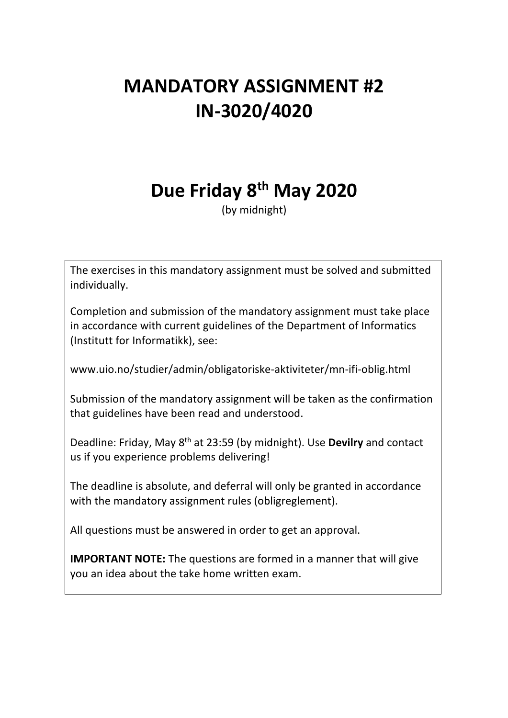# **MANDATORY ASSIGNMENT #2 IN-3020/4020**

# **Due Friday 8th May 2020**

(by midnight)

The exercises in this mandatory assignment must be solved and submitted individually.

Completion and submission of the mandatory assignment must take place in accordance with current guidelines of the Department of Informatics (Institutt for Informatikk), see:

www.uio.no/studier/admin/obligatoriske-aktiviteter/mn-ifi-oblig.html

Submission of the mandatory assignment will be taken as the confirmation that guidelines have been read and understood.

Deadline: Friday, May 8th at 23:59 (by midnight). Use **Devilry** and contact us if you experience problems delivering!

The deadline is absolute, and deferral will only be granted in accordance with the mandatory assignment rules (obligreglement).

All questions must be answered in order to get an approval.

**IMPORTANT NOTE:** The questions are formed in a manner that will give you an idea about the take home written exam.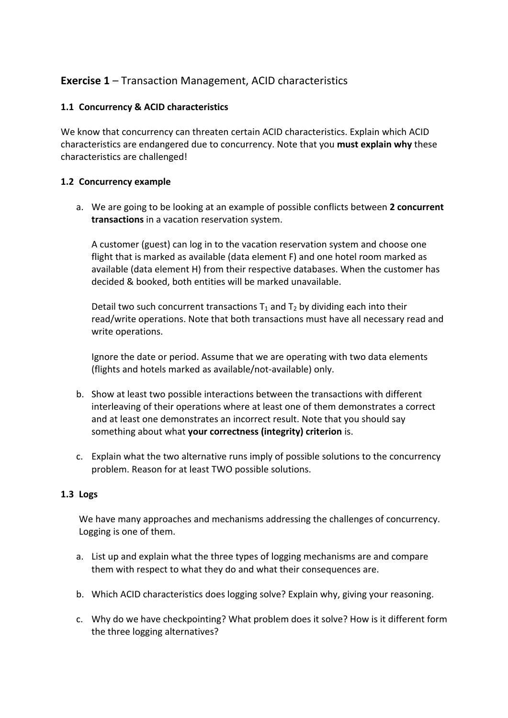## **Exercise 1** – Transaction Management, ACID characteristics

#### **1.1 Concurrency & ACID characteristics**

We know that concurrency can threaten certain ACID characteristics. Explain which ACID characteristics are endangered due to concurrency. Note that you **must explain why** these characteristics are challenged!

#### **1.2 Concurrency example**

a. We are going to be looking at an example of possible conflicts between **2 concurrent transactions** in a vacation reservation system.

A customer (guest) can log in to the vacation reservation system and choose one flight that is marked as available (data element F) and one hotel room marked as available (data element H) from their respective databases. When the customer has decided & booked, both entities will be marked unavailable.

Detail two such concurrent transactions  $T_1$  and  $T_2$  by dividing each into their read/write operations. Note that both transactions must have all necessary read and write operations.

Ignore the date or period. Assume that we are operating with two data elements (flights and hotels marked as available/not-available) only.

- b. Show at least two possible interactions between the transactions with different interleaving of their operations where at least one of them demonstrates a correct and at least one demonstrates an incorrect result. Note that you should say something about what **your correctness (integrity) criterion** is.
- c. Explain what the two alternative runs imply of possible solutions to the concurrency problem. Reason for at least TWO possible solutions.

#### **1.3 Logs**

We have many approaches and mechanisms addressing the challenges of concurrency. Logging is one of them.

- a. List up and explain what the three types of logging mechanisms are and compare them with respect to what they do and what their consequences are.
- b. Which ACID characteristics does logging solve? Explain why, giving your reasoning.
- c. Why do we have checkpointing? What problem does it solve? How is it different form the three logging alternatives?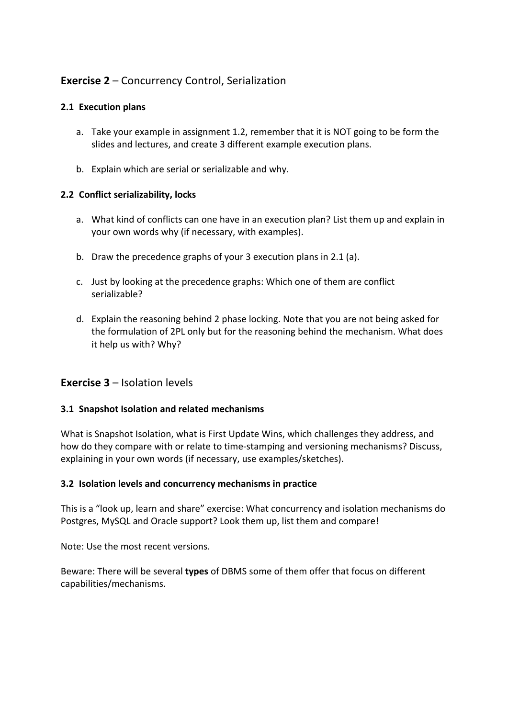# **Exercise 2** – Concurrency Control, Serialization

### **2.1 Execution plans**

- a. Take your example in assignment 1.2, remember that it is NOT going to be form the slides and lectures, and create 3 different example execution plans.
- b. Explain which are serial or serializable and why.

#### **2.2 Conflict serializability, locks**

- a. What kind of conflicts can one have in an execution plan? List them up and explain in your own words why (if necessary, with examples).
- b. Draw the precedence graphs of your 3 execution plans in 2.1 (a).
- c. Just by looking at the precedence graphs: Which one of them are conflict serializable?
- d. Explain the reasoning behind 2 phase locking. Note that you are not being asked for the formulation of 2PL only but for the reasoning behind the mechanism. What does it help us with? Why?

## **Exercise 3** – Isolation levels

#### **3.1 Snapshot Isolation and related mechanisms**

What is Snapshot Isolation, what is First Update Wins, which challenges they address, and how do they compare with or relate to time-stamping and versioning mechanisms? Discuss, explaining in your own words (if necessary, use examples/sketches).

#### **3.2 Isolation levels and concurrency mechanisms in practice**

This is a "look up, learn and share" exercise: What concurrency and isolation mechanisms do Postgres, MySQL and Oracle support? Look them up, list them and compare!

Note: Use the most recent versions.

Beware: There will be several **types** of DBMS some of them offer that focus on different capabilities/mechanisms.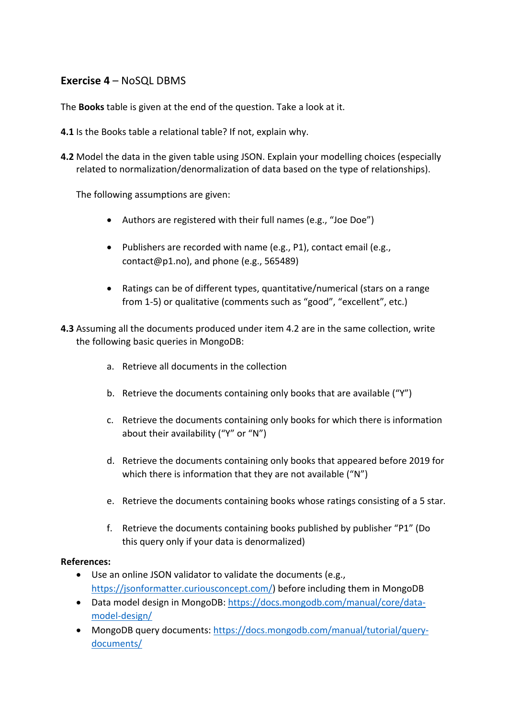## **Exercise 4** – NoSQL DBMS

The **Books** table is given at the end of the question. Take a look at it.

- **4.1** Is the Books table a relational table? If not, explain why.
- **4.2** Model the data in the given table using JSON. Explain your modelling choices (especially related to normalization/denormalization of data based on the type of relationships).

The following assumptions are given:

- Authors are registered with their full names (e.g., "Joe Doe")
- Publishers are recorded with name (e.g., P1), contact email (e.g., contact@p1.no), and phone (e.g., 565489)
- Ratings can be of different types, quantitative/numerical (stars on a range from 1-5) or qualitative (comments such as "good", "excellent", etc.)
- **4.3** Assuming all the documents produced under item 4.2 are in the same collection, write the following basic queries in MongoDB:
	- a. Retrieve all documents in the collection
	- b. Retrieve the documents containing only books that are available ("Y")
	- c. Retrieve the documents containing only books for which there is information about their availability ("Y" or "N")
	- d. Retrieve the documents containing only books that appeared before 2019 for which there is information that they are not available ("N")
	- e. Retrieve the documents containing books whose ratings consisting of a 5 star.
	- f. Retrieve the documents containing books published by publisher "P1" (Do this query only if your data is denormalized)

#### **References:**

- Use an online JSON validator to validate the documents (e.g., https://jsonformatter.curiousconcept.com/) before including them in MongoDB
- Data model design in MongoDB: https://docs.mongodb.com/manual/core/datamodel-design/
- MongoDB query documents: https://docs.mongodb.com/manual/tutorial/querydocuments/